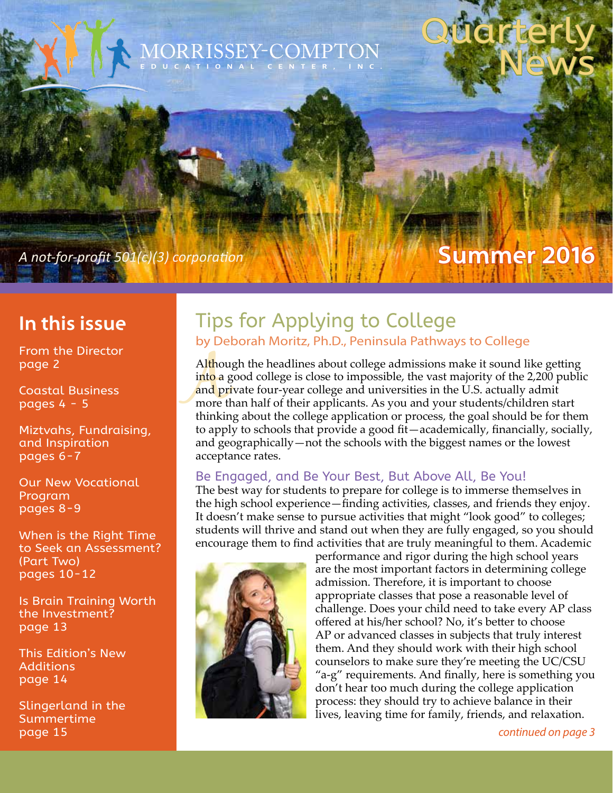# MORRISSEY-COMPTON **EDUCATIONAL CENTER, INC.**

*A not-for-profit 501(c)(3) corporation* 

### **In this issue**

From the Director page 2

Coastal Business pages 4 - 5

Miztvahs, Fundraising, and Inspiration pages 6-7

Our New Vocational Program pages 8-9

When is the Right Time to Seek an Assessment? (Part Two) pages 10-12

Is Brain Training Worth the Investment? page 13

This Edition's New Additions page 14

Slingerland in the Summertime page 15 *continued on page 3*

### Tips for Applying to College by Deborah Moritz, Ph.D., Peninsula Pathways to College

Althou<br>into a g<br>and pr<br>more the<br>thinkir Although the headlines about college admissions make it sound like getting into a good college is close to impossible, the vast majority of the 2,200 public and private four-year college and universities in the U.S. actually admit more than half of their applicants. As you and your students/children start thinking about the college application or process, the goal should be for them to apply to schools that provide a good fit—academically, financially, socially, and geographically—not the schools with the biggest names or the lowest acceptance rates.

#### Be Engaged, and Be Your Best, But Above All, Be You!

The best way for students to prepare for college is to immerse themselves in the high school experience—finding activities, classes, and friends they enjoy. It doesn't make sense to pursue activities that might "look good" to colleges; students will thrive and stand out when they are fully engaged, so you should encourage them to find activities that are truly meaningful to them. Academic



performance and rigor during the high school years are the most important factors in determining college admission. Therefore, it is important to choose appropriate classes that pose a reasonable level of challenge. Does your child need to take every AP class offered at his/her school? No, it's better to choose AP or advanced classes in subjects that truly interest them. And they should work with their high school counselors to make sure they're meeting the UC/CSU "a-g" requirements. And finally, here is something you don't hear too much during the college application process: they should try to achieve balance in their lives, leaving time for family, friends, and relaxation.

**Summer 2016**

Quarterly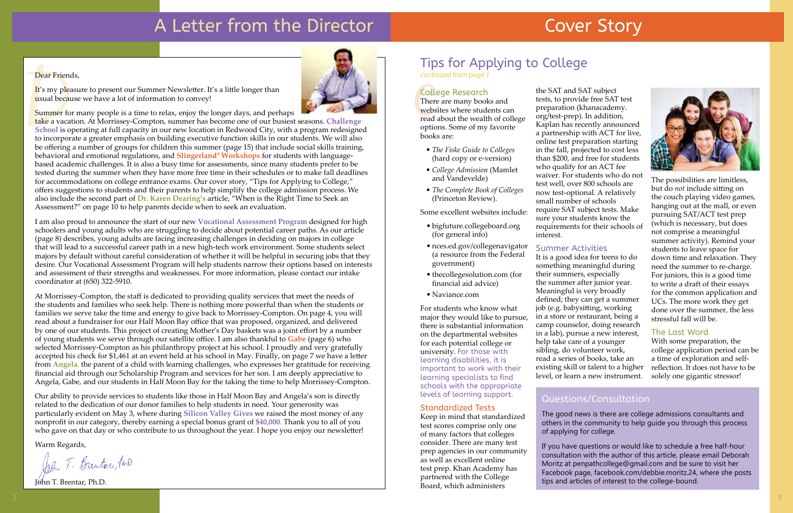# A Letter from the Director

#### Dear Friends,

It's my pleasure to present our Summer Newsletter. It's a little longer than usual because we have a lot of information to convey!

Summer for many people is a time to relax, enjoy the longer days, and perhaps

Dear Friend<br>It's my plea<br>usual becau<br>Summer fo<br>take a vaca<br>School is o<br>to incorpor<br>be offering take a vacation. At Morrissey-Compton, summer has become one of our busiest seasons. **Challenge School** is operating at full capacity in our new location in Redwood City, with a program redesigned to incorporate a greater emphasis on building executive function skills in our students. We will also be offering a number of groups for children this summer (page 15) that include social skills training, behavioral and emotional regulations, and **Slingerland® Workshops** for students with languagebased academic challenges. It is also a busy time for assessments, since many students prefer to be tested during the summer when they have more free time in their schedules or to make fall deadlines for accommodations on college entrance exams. Our cover story, "Tips for Applying to College," offers suggestions to students and their parents to help simplify the college admission process. We also include the second part of **Dr. Karen Dearing's** article, "When is the Right Time to Seek an Assessment?" on page 10 to help parents decide when to seek an evaluation.

I am also proud to announce the start of our new **Vocational Assessment Program** designed for high schoolers and young adults who are struggling to decide about potential career paths. As our article (page 8) describes, young adults are facing increasing challenges in deciding on majors in college that will lead to a successful career path in a new high-tech work environment. Some students select majors by default without careful consideration of whether it will be helpful in securing jobs that they desire. Our Vocational Assessment Program will help students narrow their options based on interests and assessment of their strengths and weaknesses. For more information, please contact our intake coordinator at (650) 322-5910.

**College Research**<br>There are many book<br>websites where stud<br>read about the wealt There are many books and websites where students can read about the wealth of college options. Some of my favorite books are:

At Morrissey-Compton, the staff is dedicated to providing quality services that meet the needs of the students and families who seek help. There is nothing more powerful than when the students or families we serve take the time and energy to give back to Morrissey-Compton. On page 4, you will read about a fundraiser for our Half Moon Bay office that was proposed, organized, and delivered by one of our students. This project of creating Mother's Day baskets was a joint effort by a number of young students we serve through our satellite office. I am also thankful to **Gabe** (page 6) who selected Morrissey-Compton as his philanthropy project at his school. I proudly and very gratefully accepted his check for \$1,461 at an event held at his school in May. Finally, on page 7 we have a letter from **Angela**, the parent of a child with learning challenges, who expresses her gratitude for receiving financial aid through our Scholarship Program and services for her son. I am deeply appreciative to Angela, Gabe, and our students in Half Moon Bay for the taking the time to help Morrissey-Compton.

Our ability to provide services to students like those in Half Moon Bay and Angela's son is directly related to the dedication of our donor families to help students in need. Your generosity was particularly evident on May 3, where during **Silicon Valley Gives** we raised the most money of any nonprofit in our category, thereby earning a special bonus grant of **\$40,000**. Thank you to all of you who gave on that day or who contribute to us throughout the year. I hope you enjoy our newsletter!

Warm Regards,

John T. Brenton IND.

John T. Brentar, Ph.D.



# Cover Story



# Tips for Applying to College

- *• The Fiske Guide to Colleges* (hard copy or e-version)
- *• College Admission* (Mamlet and Vandevelde)
- *• The Complete Book of Colleges* (Princeton Review).

Some excellent websites include:

- bigfuture.collegeboard.org (for general info)
- nces.ed.gov/collegenavigator (a resource from the Federal government)
- thecollegesolution.com (for financial aid advice)
- Naviance.com

For students who know what major they would like to pursue, there is substantial information on the departmental websites for each potential college or university. For those with learning disabilities, it is important to work with their learning specialists to find schools with the appropriate levels of learning support.

#### Standardized Tests

Keep in mind that standardized test scores comprise only one of many factors that colleges consider. There are many test prep agencies in our community as well as excellent online test prep. Khan Academy has partnered with the College Board, which administers

the SAT and SAT subject tests, to provide free SAT test preparation (khanacademy. org/test-prep). In addition, Kaplan has recently announced a partnership with ACT for live, online test preparation starting in the fall, projected to cost less than \$200, and free for students who qualify for an ACT fee waiver. For students who do not test well, over 800 schools are now test-optional. A relatively small number of schools require SAT subject tests. Make sure your students know the requirements for their schools of interest.

#### Summer Activities

It is a good idea for teens to do something meaningful during their summers, especially the summer after junior year. Meaningful is very broadly defined; they can get a summer job (e.g. babysitting, working in a store or restaurant, being a camp counselor, doing research in a lab), pursue a new interest, help take care of a younger sibling, do volunteer work, read a series of books, take an existing skill or talent to a higher level, or learn a new instrument.

The possibilities are limitless, but do *not* include sitting on the couch playing video games, hanging out at the mall, or even pursuing SAT/ACT test prep (which is necessary, but does not comprise a meaningful summer activity). Remind your students to leave space for down time and relaxation. They need the summer to re-charge. For juniors, this is a good time to write a draft of their essays for the common application and UCs. The more work they get done over the summer, the less stressful fall will be.

#### The Last Word

With some preparation, the college application period can be a time of exploration and selfreflection. It does not have to be solely one gigantic stressor!

### Questions/Consultation

The good news is there are college admissions consultants and others in the community to help guide you through this process of applying for college.

If you have questions or would like to schedule a free half-hour consultation with the author of this article, please email Deborah Moritz at penpathcollege@gmail.com and be sure to visit her Facebook page, facebook.com/debbie.moritz.24, where she posts tips and articles of interest to the college-bound.

*continued from page 1*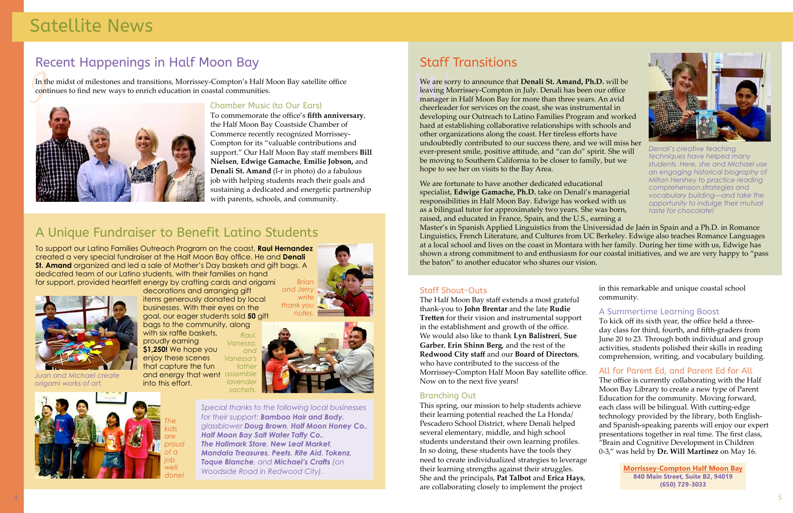## A Unique Fundraiser to Benefit Latino Students

To support our Latino Families Outreach Program on the coast, **Raul Hernandez** created a very special fundraiser at the Half Moon Bay office. He and **Denali St. Amand** organized and led a sale of Mother's Day baskets and gift bags. A dedicated team of our Latino students, with their families on hand for support, provided heartfelt energy by crafting cards and origami

4



# Satellite News



### Chamber Music (to Our Ears)

decorations and arranging gift items generously donated by local businesses. With their eyes on the goal, our eager students sold **50** gift bags to the community, along with six raffle baskets, *Raul.* 

To commemorate the office's **fifth anniversary**, the Half Moon Bay Coastside Chamber of Commerce recently recognized Morrissey-Compton for its "valuable contributions and support." Our Half Moon Bay staff members **Bill Nielsen**, **Edwige Gamache**, **Emilie Jobson,** and **Denali St. Amand** (l-r in photo) do a fabulous job with helping students reach their goals and sustaining a dedicated and energetic partnership with parents, schools, and community.

proudly earning **\$1,250!** We hope you enjoy these scenes that capture the fun and energy that went *assemble*  into this effort. *Vanessa, and Vanessa's fathe lavende sachets.* 

### Recent Happenings in Half Moon Bay

In the midst of milestones and transitions, Morrissey-Compton's Half Moon Bay satellite office continues to find new ways to enrich education in coastal communities.



*Juan and Michael create origami works of art.*

*Special thanks to the following local businesses for their support: Bamboo Hair and Body, glassblower Doug Brown, Half Moon Honey Co., Half Moon Bay Salt Water Taffy Co., The Hallmark Store, New Leaf Market, Mandala Treasures, Peets, Rite Aid, Tokenz, Toque Blanche, and Michael's Crafts (on Woodside Road in Redwood City).*







*The kids are proud of a job well done!*

**Morrissey-Compton Half Moon Bay 840 Main Street, Suite B2, 94019 (650) 729-3033**

#### Staff Shout-Outs

We are so<br>leaving N<br>manager<br>cheerlead We are sorry to announce that **Denali St. Amand, Ph.D.** will be leaving Morrissey-Compton in July. Denali has been our office manager in Half Moon Bay for more than three years. An avid cheerleader for services on the coast, she was instrumental in developing our Outreach to Latino Families Program and worked hard at establishing collaborative relationships with schools and other organizations along the coast. Her tireless efforts have undoubtedly contributed to our success there, and we will miss her ever-present smile, positive attitude, and "can do" spirit. She will be moving to Southern California to be closer to family, but we hope to see her on visits to the Bay Area.

The Half Moon Bay staff extends a most grateful thank-you to **John Brentar** and the late **Rudie Tretten** for their vision and instrumental support in the establishment and growth of the office. We would also like to thank **Lyn Balistreri**, **Sue Garber**, **Erin Shinn Berg**, and the rest of the **Redwood City staff** and our **Board of Directors**, who have contributed to the success of the Morrissey-Compton Half Moon Bay satellite office. Now on to the next five years!

#### Branching Out

This spring, our mission to help students achieve their learning potential reached the La Honda/ Pescadero School District, where Denali helped several elementary, middle, and high school students understand their own learning profiles. In so doing, these students have the tools they need to create individualized strategies to leverage their learning strengths against their struggles. She and the principals, **Pat Talbot** and **Erica Hays**, are collaborating closely to implement the project

in this remarkable and unique coastal school community.

#### A Summertime Learning Boost

To kick off its sixth year, the office held a threeday class for third, fourth, and fifth-graders from June 20 to 23. Through both individual and group activities, students polished their skills in reading comprehension, writing, and vocabulary building.

#### All for Parent Ed, and Parent Ed for All

The office is currently collaborating with the Half Moon Bay Library to create a new type of Parent Education for the community. Moving forward, each class will be bilingual. With cutting-edge technology provided by the library, both Englishand Spanish-speaking parents will enjoy our expert presentations together in real time. The first class, "Brain and Cognitive Development in Children 0-3," was held by **Dr. Will Martinez** on May 16.

# Staff Transitions

We are fortunate to have another dedicated educational specialist, **Edwige Gamache, Ph.D.** take on Denali's managerial responsibilities in Half Moon Bay. Edwige has worked with us as a bilingual tutor for approximately two years. She was born, raised, and educated in France, Spain, and the U.S., earning a Master's in Spanish Applied Linguistics from the Universidad de Jaén in Spain and a Ph.D. in Romance Linguistics, French Literature, and Cultures from UC Berkeley. Edwige also teaches Romance Languages at a local school and lives on the coast in Montara with her family. During her time with us, Edwige has shown a strong commitment to and enthusiasm for our coastal initiatives, and we are very happy to "pass the baton" to another educator who shares our vision. *comprehension strategies and vocabulary building—and take the opportunity to indulge their mutual taste for chocolate!* 

*Denali's creative teaching techniques have helped many students. Here, she and Michael use an engaging historical biography of Milton Hershey to practice reading*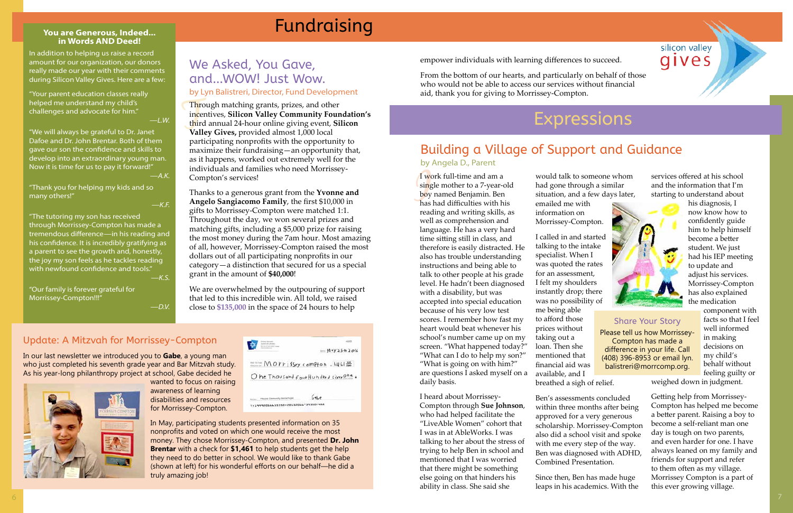### silicon valley gives

# Fundraising

## We Asked, You Gave, and...WOW! Just Wow.

by Lyn Balistreri, Director, Fund Development

### Update: A Mitzvah for Morrissey-Compton

In our last newsletter we introduced you to **Gabe**, a young man who just completed his seventh grade year and Bar Mitzvah study. As his year-long philanthropy project at school, Gabe decided he

wanted to focus on raising awareness of learning disabilities and resources for Morrissey-Compton.

| $1.44$ May 2510 2016                     |
|------------------------------------------|
| <b>Commer MOPF issey compton</b> , 44613 |
| Ohe Thousand four Hundred sixty Ohe.     |
| (1, 1, 0)                                |
|                                          |

Thro<br>
ince<br>
third<br>
Vall Through matching grants, prizes, and other incentives, **Silicon Valley Community Foundation's** third annual 24-hour online giving event, **Silicon Valley Gives,** provided almost 1,000 local participating nonprofits with the opportunity to maximize their fundraising—an opportunity that, as it happens, worked out extremely well for the individuals and families who need Morrissey-Compton's services!

In May, participating students presented information on 35 nonprofits and voted on which one would receive the most money. They chose Morrissey-Compton, and presented **Dr. John Brentar** with a check for **\$1,461** to help students get the help they need to do better in school. We would like to thank Gabe (shown at left) for his wonderful efforts on our behalf—he did a truly amazing job!

Thanks to a generous grant from the **Yvonne and Angelo Sangiacomo Family**, the first \$10,000 in gifts to Morrissey-Compton were matched 1:1. Throughout the day, we won several prizes and matching gifts, including a \$5,000 prize for raising the most money during the 7am hour. Most amazing of all, however, Morrissey-Compton raised the most dollars out of all participating nonprofits in our category—a distinction that secured for us a special grant in the amount of **\$40,000**!

We are overwhelmed by the outpouring of support that led to this incredible win. All told, we raised close to **\$135,000** in the space of 24 hours to help

I we<br>sing<br>boy<br>has<br>read I work full-time and am a single mother to a 7-year-old boy named Benjamin. Ben has had difficulties with his reading and writing skills, as well as comprehension and language. He has a very hard time sitting still in class, and therefore is easily distracted. He also has trouble understanding instructions and being able to talk to other people at his grade level. He hadn't been diagnosed with a disability, but was accepted into special education because of his very low test scores. I remember how fast my heart would beat whenever his school's number came up on my screen. "What happened today?" "What can I do to help my son?" "What is going on with him?" are questions I asked myself on a daily basis.

#### **You are Generous, Indeed... in Words AND Deed!**

In addition to helping us raise a record amount for our organization, our donors really made our year with their comments during Silicon Valley Gives. Here are a few:

"Your parent education classes really helped me understand my child's challenges and advocate for him." *—L.W.*

"We will always be grateful to Dr. Janet Dafoe and Dr. John Brentar. Both of them gave our son the confidence and skills to develop into an extraordinary young man. Now it is time for us to pay it forward!" *—A.K.*

"Thank you for helping my kids and so many others!"

*—K.F.*

"The tutoring my son has received through Morrissey-Compton has made a tremendous difference—in his reading and his confidence. It is incredibly gratifying as a parent to see the growth and, honestly, the joy my son feels as he tackles reading with newfound confidence and tools." *—K.S.*

"Our family is forever grateful for Morrissey-Compton!!!"

*—D.V.*

# Expressions



I heard about Morrissey-Compton through **Sue Johnson**, who had helped facilitate the "LiveAble Women" cohort that I was in at AbleWorks. I was talking to her about the stress of trying to help Ben in school and mentioned that I was worried that there might be something else going on that hinders his ability in class. She said she

would talk to someone whom had gone through a similar situation, and a few days later, emailed me with information on Morrissey-Compton.

scholarship. Morrissey-Compton

Ben's assessments concluded within three months after being approved for a very generous also did a school visit and spoke with me every step of the way. Ben was diagnosed with ADHD, Combined Presentation.

Since then, Ben has made huge leaps in his academics. With the services offered at his school and the information that I'm starting to understand about

his diagnosis, I now know how to confidently guide him to help himself

I called in and started talking to the intake specialist. When I was quoted the rates for an assessment, I felt my shoulders instantly drop; there was no possibility of me being able to afford those prices without taking out a loan. Then she mentioned that financial aid was available, and I breathed a sigh of relief. become a better student. We just had his IEP meeting to update and adjust his services. Morrissey-Compton has also explained the medication component with facts so that I feel well informed in making decisions on my child's behalf without feeling guilty or weighed down in judgment. Share Your Story Please tell us how Morrissey-Compton has made a difference in your life. Call (408) 396-8953 or email lyn. balistreri@morrcomp.org.

> Getting help from Morrissey-Compton has helped me become a better parent. Raising a boy to become a self-reliant man one day is tough on two parents, and even harder for one. I have always leaned on my family and friends for support and refer to them often as my village. Morrissey Compton is a part of this ever growing village.

### Building a Village of Support and Guidance by Angela D., Parent

empower individuals with learning differences to succeed.

From the bottom of our hearts, and particularly on behalf of those who would not be able to access our services without financial aid, thank you for giving to Morrissey-Compton.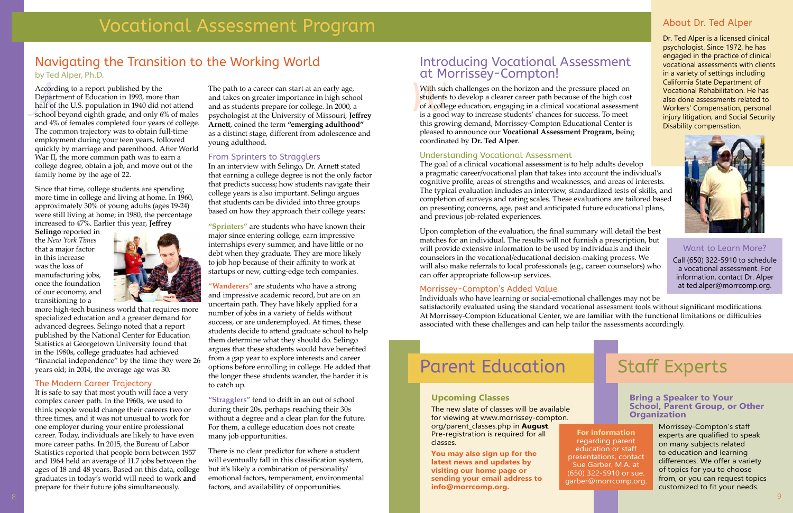Accordi<br>Departr<br>half of t<br>school b<br>and 4% According to a report published by the Department of Education in 1993, more than half of the U.S. population in 1940 did not attend school beyond eighth grade, and only 6% of males and 4% of females completed four years of college. The common trajectory was to obtain full-time employment during your teen years, followed quickly by marriage and parenthood. After World War II, the more common path was to earn a college degree, obtain a job, and move out of the family home by the age of 22.

Since that time, college students are spending more time in college and living at home. In 1960, approximately 30% of young adults (ages 19-24) were still living at home; in 1980, the percentage increased to 47%. Earlier this year, **Jeffrey** 

**Selingo** reported in the *New York Times* that a major factor in this increase was the loss of manufacturing jobs, once the foundation of our economy, and transitioning to a



more high-tech business world that requires more specialized education and a greater demand for advanced degrees. Selingo noted that a report published by the National Center for Education Statistics at Georgetown University found that in the 1980s, college graduates had achieved "financial independence" by the time they were 26 years old; in 2014, the average age was 30.

#### The Modern Career Trajectory

It is safe to say that most youth will face a very complex career path. In the 1960s, we used to think people would change their careers two or three times, and it was not unusual to work for one employer during your entire professional career. Today, individuals are likely to have even more career paths. In 2015, the Bureau of Labor Statistics reported that people born between 1957 and 1964 held an average of 11.7 jobs between the ages of 18 and 48 years. Based on this data, college graduates in today's world will need to work **and** prepare for their future jobs simultaneously.

The path to a career can start at an early age, and takes on greater importance in high school and as students prepare for college. In 2000, a psychologist at the University of Missouri, **Jeffrey Arnett**, coined the term **"emerging adulthood"** as a distinct stage, different from adolescence and young adulthood.

#### From Sprinters to Stragglers

In an interview with Selingo, Dr. Arnett stated that earning a college degree is not the only factor that predicts success; how students navigate their college years is also important. Selingo argues that students can be divided into three groups based on how they approach their college years:

With suce<br>students<br>of a colle<br>is a good With such challenges on the horizon and the pressure placed on students to develop a clearer career path because of the high cost of a college education, engaging in a clinical vocational assessment is a good way to increase students' chances for success. To meet this growing demand, Morrissey-Compton Educational Center is pleased to announce our **Vocational Assessment Program, b**eing coordinated by **Dr. Ted Alper**.

**"Sprinters"** are students who have known their major since entering college, earn impressive internships every summer, and have little or no debt when they graduate. They are more likely to job hop because of their affinity to work at startups or new, cutting-edge tech companies.

**"Wanderers"** are students who have a strong and impressive academic record, but are on an uncertain path. They have likely applied for a number of jobs in a variety of fields without success, or are underemployed. At times, these students decide to attend graduate school to help them determine what they should do. Selingo argues that these students would have benefited from a gap year to explore interests and career options before enrolling in college. He added that the longer these students wander, the harder it is to catch up.

**"Stragglers"** tend to drift in an out of school during their 20s, perhaps reaching their 30s without a degree and a clear plan for the future. For them, a college education does not create many job opportunities.

There is no clear predictor for where a student will eventually fall in this classification system, but it's likely a combination of personality/ emotional factors, temperament, environmental factors, and availability of opportunities.

# Navigating the Transition to the Working World

by Ted Alper, Ph.D.

**Bring a Speaker to Your School, Parent Group, or Other Organization**

> Morrissey-Compton's staff experts are qualified to speak on many subjects related to education and learning differences. We offer a variety of topics for you to choose from, or you can request topics customized to fit your needs.

#### **Upcoming Classes**

The new slate of classes will be available for viewing at www.morrissey-compton. org/parent\_classes.php in **August**. Pre-registration is required for all classes.

**You may also sign up for the latest news and updates by visiting our home page or sending your email address to info@morrcomp.org.**

### About Dr. Ted Alper

Dr. Ted Alper is a licensed clinical psychologist. Since 1972, he has engaged in the practice of clinical vocational assessments with clients in a variety of settings including California State Department of Vocational Rehabilitation. He has also done assessments related to Workers' Compensation, personal injury litigation, and Social Security Disability compensation.



#### Understanding Vocational Assessment

The goal of a clinical vocational assessment is to help adults develop a pragmatic career/vocational plan that takes into account the individual's cognitive profile, areas of strengths and weaknesses, and areas of interests. The typical evaluation includes an interview, standardized tests of skills, and completion of surveys and rating scales. These evaluations are tailored based on presenting concerns, age, past and anticipated future educational plans, and previous job-related experiences.

Upon completion of the evaluation, the final summary will detail the best matches for an individual. The results will not furnish a prescription, but will provide extensive information to be used by individuals and their counselors in the vocational/educational decision-making process. We will also make referrals to local professionals (e.g., career counselors) who can offer appropriate follow-up services.

#### Morrissey-Compton's Added Value

Individuals who have learning or social-emotional challenges may not be satisfactorily evaluated using the standard vocational assessment tools without significant modifications. At Morrissey-Compton Educational Center, we are familiar with the functional limitations or difficulties associated with these challenges and can help tailor the assessments accordingly.

# Parent Education

### Introducing Vocational Assessment at Morrissey-Compton!

# Staff Experts

Want to Learn More? Call (650) 322-5910 to schedule a vocational assessment. For information, contact Dr. Alper at ted.alper@morrcomp.org.

**For information** regarding parent education or staff presentations, contact Sue Garber, M.A. at (650) 322-5910 or sue. garber@morrcomp.org.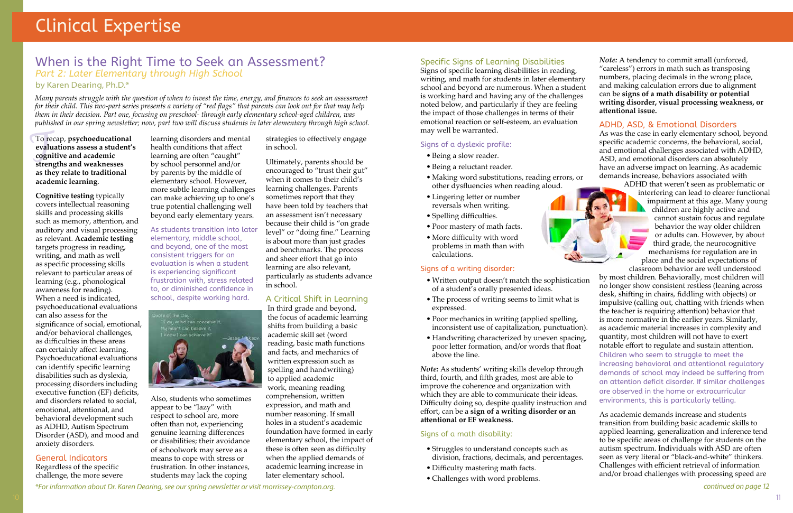To recap, **psychoeducational**<br>evaluations assess a student'<sup>'</sup><br>cognitive and academic<br>strengths and weaknesses **evaluations assess a student's cognitive and academic strengths and weaknesses as they relate to traditional academic learning**.

**Cognitive testing** typically covers intellectual reasoning skills and processing skills such as memory, attention, and auditory and visual processing as relevant. **Academic testing**  targets progress in reading, writing, and math as well as specific processing skills relevant to particular areas of learning (e.g., phonological awareness for reading). When a need is indicated, psychoeducational evaluations can also assess for the significance of social, emotional, and/or behavioral challenges, as difficulties in these areas can certainly affect learning. Psychoeducational evaluations can identify specific learning disabilities such as dyslexia, processing disorders including executive function (EF) deficits, and disorders related to social, emotional, attentional, and behavioral development such as ADHD, Autism Spectrum Disorder (ASD), and mood and anxiety disorders.

#### General Indicators

Regardless of the specific challenge, the more severe

learning disorders and mental health conditions that affect learning are often "caught" by school personnel and/or by parents by the middle of elementary school. However, more subtle learning challenges can make achieving up to one's true potential challenging well beyond early elementary years.

As students transition into later elementary, middle school, and beyond, one of the most consistent triggers for an evaluation is when a student is experiencing significant frustration with, stress related to, or diminished confidence in school, despite working hard.



Also, students who sometimes appear to be "lazy" with respect to school are, more often than not, experiencing genuine learning differences or disabilities; their avoidance of schoolwork may serve as a means to cope with stress or frustration. In other instances, students may lack the coping

strategies to effectively engage in school.

Ultimately, parents should be encouraged to "trust their gut" when it comes to their child's learning challenges. Parents sometimes report that they have been told by teachers that an assessment isn't necessary because their child is "on grade level" or "doing fine." Learning is about more than just grades and benchmarks. The process and sheer effort that go into learning are also relevant, particularly as students advance in school.

#### A Critical Shift in Learning

In third grade and beyond, the focus of academic learning shifts from building a basic academic skill set (word reading, basic math functions and facts, and mechanics of written expression such as spelling and handwriting) to applied academic work, meaning reading comprehension, written expression, and math and number reasoning. If small holes in a student's academic foundation have formed in early elementary school, the impact of these is often seen as difficulty when the applied demands of academic learning increase in later elementary school.

### When is the Right Time to Seek an Assessment? *Part 2: Later Elementary through High School*

#### by Karen Dearing, Ph.D.\*

*Many parents struggle with the question of when to invest the time, energy, and finances to seek an assessment for their child. This two-part series presents a variety of "red flags" that parents can look out for that may help them in their decision. Part one, focusing on preschool- through early elementary school-aged children, was published in our spring newsletter; now, part two will discuss students in later elementary through high school.* 

#### *\*For information about Dr. Karen Dearing, see our spring newsletter or visit morrissey-compton.org.*

#### Specific Signs of Learning Disabilities

Signs of specific learning disabilities in reading, writing, and math for students in later elementary school and beyond are numerous. When a student is working hard and having any of the challenges noted below, and particularly if they are feeling the impact of those challenges in terms of their emotional reaction or self-esteem, an evaluation may well be warranted.

#### Signs of a dyslexic profile:

- Being a slow reader.
- Being a reluctant reader.
- Making word substitutions, reading errors, or other dysfluencies when reading aloud.
- Lingering letter or number reversals when writing.
- Spelling difficulties.
- Poor mastery of math facts.
- More difficulty with word problems in math than with calculations.



- Written output doesn't match the sophistication of a student's orally presented ideas.
- The process of writing seems to limit what is expressed.
- Poor mechanics in writing (applied spelling, inconsistent use of capitalization, punctuation).
- above the line.

#### Signs of a math disability:

- Struggles to understand concepts such as division, fractions, decimals, and percentages.
- Difficulty mastering math facts.
- Challenges with word problems.



*Note:* A tendency to commit small (unforced, "careless") errors in math such as transposing numbers, placing decimals in the wrong place, and making calculation errors due to alignment can be **signs of a math disability or potential writing disorder, visual processing weakness, or attentional issue.** 

#### ADHD, ASD, & Emotional Disorders

As was the case in early elementary school, beyond specific academic concerns, the behavioral, social, and emotional challenges associated with ADHD, ASD, and emotional disorders can absolutely have an adverse impact on learning. As academic demands increase, behaviors associated with

• Handwriting characterized by uneven spacing, poor letter formation, and/or words that float *Note:* As students' writing skills develop through third, fourth, and fifth grades, most are able to improve the coherence and organization with which they are able to communicate their ideas. Difficulty doing so, despite quality instruction and effort, can be a **sign of a writing disorder or an attentional or EF weakness.** as academic material increases in complexity and quantity, most children will not have to exert notable effort to regulate and sustain attention. Children who seem to struggle to meet the increasing behavioral and attentional regulatory demands of school may indeed be suffering from an attention deficit disorder. If similar challenges are observed in the home or extracurricular environments, this is particularly telling. As academic demands increase and students

ADHD that weren't seen as problematic or interfering can lead to clearer functional impairment at this age. Many young children are highly active and cannot sustain focus and regulate behavior the way older children or adults can. However, by about third grade, the neurocognitive mechanisms for regulation are in place and the social expectations of

classroom behavior are well understood by most children. Behaviorally, most children will no longer show consistent restless (leaning across desk, shifting in chairs, fiddling with objects) or impulsive (calling out, chatting with friends when the teacher is requiring attention) behavior that is more normative in the earlier years. Similarly,

transition from building basic academic skills to applied learning, generalization and inference tend to be specific areas of challenge for students on the autism spectrum. Individuals with ASD are often seen as very literal or "black-and-white" thinkers. Challenges with efficient retrieval of information

and/or broad challenges with processing speed are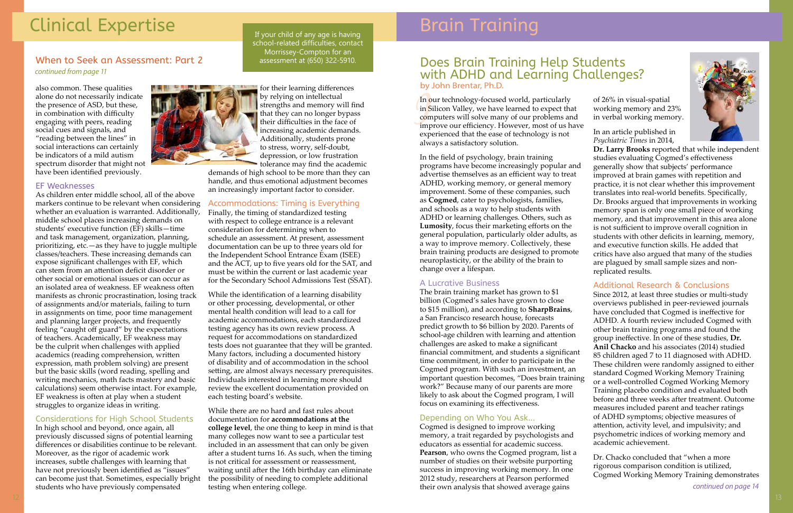# Clinical Expertise

also common. These qualities alone do not necessarily indicate the presence of ASD, but these, in combination with difficulty engaging with peers, reading social cues and signals, and "reading between the lines" in social interactions can certainly be indicators of a mild autism spectrum disorder that might not have been identified previously.

#### EF Weaknesses

As children enter middle school, all of the above markers continue to be relevant when considering whether an evaluation is warranted. Additionally, middle school places increasing demands on students' executive function (EF) skills—time and task management, organization, planning, prioritizing, etc.—as they have to juggle multiple classes/teachers. These increasing demands can expose significant challenges with EF, which can stem from an attention deficit disorder or other social or emotional issues or can occur as an isolated area of weakness. EF weakness often manifests as chronic procrastination, losing track of assignments and/or materials, failing to turn in assignments on time, poor time management and planning larger projects, and frequently feeling "caught off guard" by the expectations of teachers. Academically, EF weakness may be the culprit when challenges with applied academics (reading comprehension, written expression, math problem solving) are present but the basic skills (word reading, spelling and writing mechanics, math facts mastery and basic calculations) seem otherwise intact. For example, EF weakness is often at play when a student struggles to organize ideas in writing.

#### Considerations for High School Students

In high school and beyond, once again, all previously discussed signs of potential learning differences or disabilities continue to be relevant. Moreover, as the rigor of academic work increases, subtle challenges with learning that have not previously been identified as "issues" can become just that. Sometimes, especially bright students who have previously compensated

#### *continued from page 11* When to Seek an Assessment: Part 2 assessment at (650) 322-5910.

for their learning differences by relying on intellectual strengths and memory will find that they can no longer bypass their difficulties in the face of increasing academic demands. Additionally, students prone to stress, worry, self-doubt, depression, or low frustration tolerance may find the academic

demands of high school to be more than they can handle, and thus emotional adjustment becomes an increasingly important factor to consider.

#### Accommodations: Timing is Everything

Finally, the timing of standardized testing with respect to college entrance is a relevant consideration for determining when to schedule an assessment. At present, assessment documentation can be up to three years old for the Independent School Entrance Exam (ISEE) and the ACT, up to five years old for the SAT, and must be within the current or last academic year for the Secondary School Admissions Test (SSAT). In **o**<br>in **S**<br>com<br>imp<br>exp In our technology-focused world, particularly in Silicon Valley, we have learned to expect that computers will solve many of our problems and improve our efficiency. However, most of us have experienced that the ease of technology is not always a satisfactory solution. In an article published in *Psychiatric Times* in 2014,

While the identification of a learning disability or other processing, developmental, or other mental health condition will lead to a call for academic accommodations, each standardized testing agency has its own review process. A request for accommodations on standardized tests does not guarantee that they will be granted. Many factors, including a documented history of disability and of accommodation in the school setting, are almost always necessary prerequisites. Individuals interested in learning more should review the excellent documentation provided on each testing board's website.

While there are no hard and fast rules about documentation for **accommodations at the college level**, the one thing to keep in mind is that many colleges now want to see a particular test included in an assessment that can only be given after a student turns 16. As such, when the timing is not critical for assessment or reassessment, waiting until after the 16th birthday can eliminate the possibility of needing to complete additional testing when entering college.

If your child of any age is having school-related difficulties, contact Morrissey-Compton for an

# Brain Training

### Does Brain Training Help Students with ADHD and Learning Challenges? by John Brentar, Ph.D.

In the field of psychology, brain training programs have become increasingly popular and advertise themselves as an efficient way to treat ADHD, working memory, or general memory improvement. Some of these companies, such as **Cogmed**, cater to psychologists, families, and schools as a way to help students with ADHD or learning challenges. Others, such as **Lumosity**, focus their marketing efforts on the general population, particularly older adults, as a way to improve memory. Collectively, these brain training products are designed to promote neuroplasticity, or the ability of the brain to change over a lifespan.

#### A Lucrative Business

The brain training market has grown to \$1 billion (Cogmed's sales have grown to close to \$15 million), and according to **SharpBrains**, a San Francisco research house, forecasts predict growth to \$6 billion by 2020. Parents of school-age children with learning and attention challenges are asked to make a significant financial commitment, and students a significant time commitment, in order to participate in the Cogmed program. With such an investment, an important question becomes, "Does brain training work?" Because many of our parents are more likely to ask about the Cogmed program, I will focus on examining its effectiveness.

#### Depending on Who You Ask...

Cogmed is designed to improve working memory, a trait regarded by psychologists and educators as essential for academic success. **Pearson**, who owns the Cogmed program, list a number of studies on their website purporting success in improving working memory. In one 2012 study, researchers at Pearson performed their own analysis that showed average gains



of 26% in visual-spatial working memory and 23% in verbal working memory.



**Dr. Larry Brooks** reported that while independent studies evaluating Cogmed's effectiveness generally show that subjects' performance improved at brain games with repetition and practice, it is not clear whether this improvement translates into real-world benefits. Specifically, Dr. Brooks argued that improvements in working memory span is only one small piece of working memory, and that improvement in this area alone is not sufficient to improve overall cognition in students with other deficits in learning, memory, and executive function skills. He added that critics have also argued that many of the studies are plagued by small sample sizes and nonreplicated results.

#### Additional Research & Conclusions

Since 2012, at least three studies or multi-study overviews published in peer-reviewed journals have concluded that Cogmed is ineffective for ADHD. A fourth review included Cogmed with other brain training programs and found the group ineffective. In one of these studies, **Dr. Anil Chacko** and his associates (2014) studied 85 children aged 7 to 11 diagnosed with ADHD. These children were randomly assigned to either standard Cogmed Working Memory Training or a well-controlled Cogmed Working Memory Training placebo condition and evaluated both before and three weeks after treatment. Outcome measures included parent and teacher ratings of ADHD symptoms; objective measures of attention, activity level, and impulsivity; and psychometric indices of working memory and academic achievement.

Dr. Chacko concluded that "when a more rigorous comparison condition is utilized, Cogmed Working Memory Training demonstrates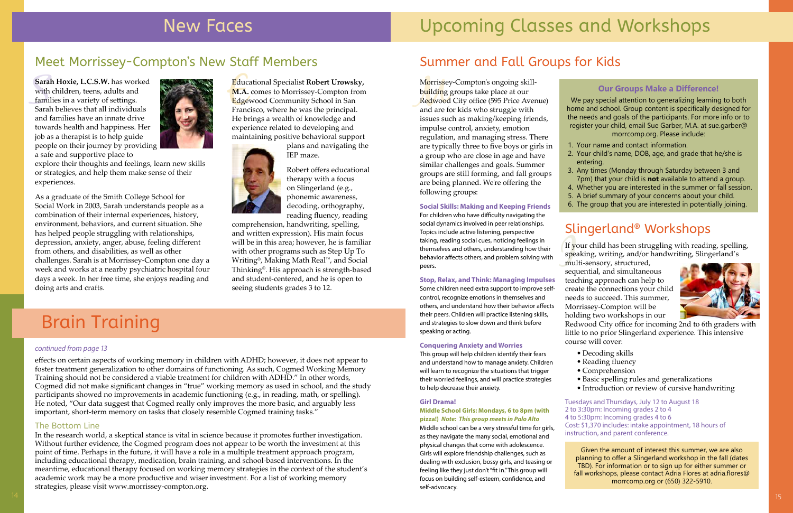# New Faces

### Educational Specialist **Robert Urowsky,**

Educ<br>**M.A.**<br>Edge<br>Franc **M.A.** comes to Morrissey-Compton from Edgewood Community School in San Francisco, where he was the principal. He brings a wealth of knowledge and experience related to developing and maintaining positive behavioral support



plans and navigating the IEP maze.

Robert offers educational therapy with a focus on Slingerland (e.g., phonemic awareness, decoding, orthography, reading fluency, reading

**Sarah Hoxie, L.C.S.W.** has worked<br>with children, teens, adults and<br>families in a variety of settings.<br>Sarah believes that all individuals with children, teens, adults and families in a variety of settings. Sarah believes that all individuals and families have an innate drive towards health and happiness. Her job as a therapist is to help guide people on their journey by providing a safe and supportive place to



comprehension, handwriting, spelling, and written expression). His main focus will be in this area; however, he is familiar with other programs such as Step Up To Writing®, Making Math Real™, and Social Thinking®. His approach is strength-based and student-centered, and he is open to seeing students grades 3 to 12.

## Meet Morrissey-Compton's New Staff Members

# Brain Training

#### *continued from page 13*

explore their thoughts and feelings, learn new skills or strategies, and help them make sense of their experiences.

As a graduate of the Smith College School for Social Work in 2003, Sarah understands people as a combination of their internal experiences, history, environment, behaviors, and current situation. She has helped people struggling with relationships, depression, anxiety, anger, abuse, feeling different from others, and disabilities, as well as other challenges. Sarah is at Morrissey-Compton one day a week and works at a nearby psychiatric hospital four days a week. In her free time, she enjoys reading and doing arts and crafts.

Morrisse<br>building<br>Redwood<br>and are f Morrissey-Compton's ongoing skillb<mark>ui</mark>lding groups take place at our Redwood City office (595 Price Avenue) and are for kids who struggle with issues such as making/keeping friends, impulse control, anxiety, emotion regulation, and managing stress. There are typically three to five boys or girls in a group who are close in age and have similar challenges and goals. Summer groups are still forming, and fall groups are being planned. We're offering the following groups:

effects on certain aspects of working memory in children with ADHD; however, it does not appear to foster treatment generalization to other domains of functioning. As such, Cogmed Working Memory Training should not be considered a viable treatment for children with ADHD." In other words, Cogmed did not make significant changes in "true" working memory as used in school, and the study participants showed no improvements in academic functioning (e.g., in reading, math, or spelling). He noted, "Our data suggest that Cogmed really only improves the more basic, and arguably less important, short-term memory on tasks that closely resemble Cogmed training tasks."

#### The Bottom Line

If your child has been struggling with reading, spelling, speaking, writing, and/or handwriting, Slingerland's multi-sensory, structured, speaking, writing, and/or handwriting, Slingerland's

In the research world, a skeptical stance is vital in science because it promotes further investigation. Without further evidence, the Cogmed program does not appear to be worth the investment at this point of time. Perhaps in the future, it will have a role in a multiple treatment approach program, including educational therapy, medication, brain training, and school-based interventions. In the meantime, educational therapy focused on working memory strategies in the context of the student's academic work may be a more productive and wiser investment. For a list of working memory strategies, please visit www.morrissey-compton.org.

## Summer and Fall Groups for Kids

#### **Social Skills: Making and Keeping Friends**

For children who have difficulty navigating the social dynamics involved in peer relationships. Topics include active listening, perspective taking, reading social cues, noticing feelings in themselves and others, understanding how their behavior affects others, and problem solving with peers.

#### **Stop, Relax, and Think: Managing Impulses**

Some children need extra support to improve selfcontrol, recognize emotions in themselves and others, and understand how their behavior affects their peers. Children will practice listening skills, and strategies to slow down and think before speaking or acting.

#### **Conquering Anxiety and Worries**

This group will help children identify their fears and understand how to manage anxiety. Children will learn to recognize the situations that trigger their worried feelings, and will practice strategies to help decrease their anxiety.

#### **Girl Drama!**

**Middle School Girls: Mondays, 6 to 8pm (with pizza!)** *Note: This group meets in Palo Alto*

Middle school can be a very stressful time for girls, as they navigate the many social, emotional and physical changes that come with adolescence. Girls will explore friendship challenges, such as dealing with exclusion, bossy girls, and teasing or feeling like they just don't "fit in." This group will focus on building self-esteem, confidence, and self-advocacy.

- 
- 
- 
- 

# Upcoming Classes and Workshops

## Slingerland® Workshops

multi-sensory, structured, sequential, and simultaneous teaching approach can help to create the connections your child needs to succeed. This summer, Morrissey-Compton will be holding two workshops in our



Redwood City office for incoming 2nd to 6th graders with little to no prior Slingerland experience. This intensive course will cover:

• Decoding skills

- Reading fluency
- Comprehension

• Basic spelling rules and generalizations • Introduction or review of cursive handwriting

Tuesdays and Thursdays, July 12 to August 18 2 to 3:30pm: Incoming grades 2 to 4 4 to 5:30pm: Incoming grades 4 to 6 Cost: \$1,370 includes: intake appointment, 18 hours of instruction, and parent conference.

#### **Our Groups Make a Difference!**

We pay special attention to generalizing learning to both home and school. Group content is specifically designed for the needs and goals of the participants. For more info or to register your child, email Sue Garber, M.A. at sue.garber@ morrcomp.org. Please include:

1. Your name and contact information.

2. Your child's name, DOB, age, and grade that he/she is entering.

3. Any times (Monday through Saturday between 3 and 7pm) that your child is **not** available to attend a group. 4. Whether you are interested in the summer or fall session. 5. A brief summary of your concerns about your child. 6. The group that you are interested in potentially joining.

Given the amount of interest this summer, we are also planning to offer a Slingerland workshop in the fall (dates TBD). For information or to sign up for either summer or fall workshops, please contact Adria Flores at adria.flores@ morrcomp.org or (650) 322-5910.